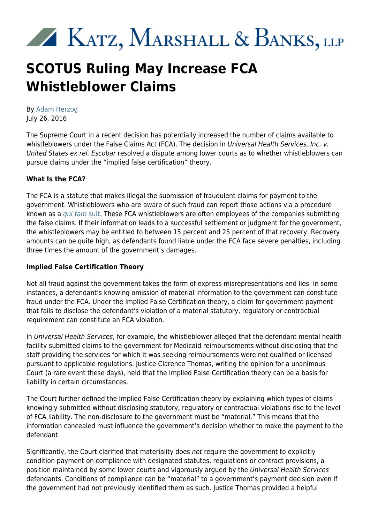# **XXX KATZ, MARSHALL & BANKS, LLP**

## **SCOTUS Ruling May Increase FCA Whistleblower Claims**

By [Adam Herzog](https://www.kmblegal.com/attorneys-and-staff/adam-herzog) July 26, 2016

The Supreme Court in a recent decision has potentially increased the number of claims available to whistleblowers under the False Claims Act (FCA). The decision in Universal Health Services, Inc. v. United States ex rel. Escobar resolved a dispute among lower courts as to whether whistleblowers can pursue claims under the "implied false certification" theory.

#### **What Is the FCA?**

The FCA is a statute that makes illegal the submission of fraudulent claims for payment to the government. Whistleblowers who are aware of such fraud can report those actions via a procedure known as a [qui tam](http://www.kmblegal.com/resources/qui-tamfalse-claims-act) [suit.](http://www.kmblegal.com/resources/qui-tamfalse-claims-act) These FCA whistleblowers are often employees of the companies submitting the false claims. If their information leads to a successful settlement or judgment for the government, the whistleblowers may be entitled to between 15 percent and 25 percent of that recovery. Recovery amounts can be quite high, as defendants found liable under the FCA face severe penalties, including three times the amount of the government's damages.

#### **Implied False Certification Theory**

Not all fraud against the government takes the form of express misrepresentations and lies. In some instances, a defendant's knowing omission of material information to the government can constitute fraud under the FCA. Under the Implied False Certification theory, a claim for government payment that fails to disclose the defendant's violation of a material statutory, regulatory or contractual requirement can constitute an FCA violation.

In Universal Health Services, for example, the whistleblower alleged that the defendant mental health facility submitted claims to the government for Medicaid reimbursements without disclosing that the staff providing the services for which it was seeking reimbursements were not qualified or licensed pursuant to applicable regulations. Justice Clarence Thomas, writing the opinion for a unanimous Court (a rare event these days), held that the Implied False Certification theory can be a basis for liability in certain circumstances.

The Court further defined the Implied False Certification theory by explaining which types of claims knowingly submitted without disclosing statutory, regulatory or contractual violations rise to the level of FCA liability. The non-disclosure to the government must be "material." This means that the information concealed must influence the government's decision whether to make the payment to the defendant.

Significantly, the Court clarified that materiality does not require the government to explicitly condition payment on compliance with designated statutes, regulations or contract provisions, a position maintained by some lower courts and vigorously argued by the Universal Health Services defendants. Conditions of compliance can be "material" to a government's payment decision even if the government had not previously identified them as such. Justice Thomas provided a helpful